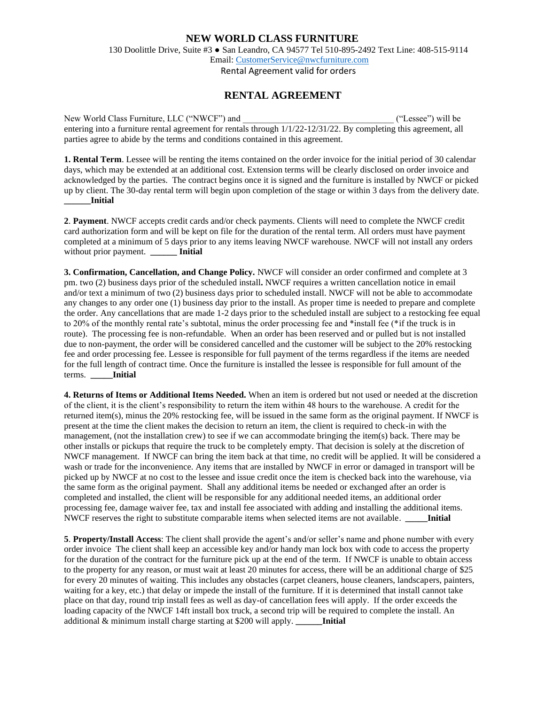## **NEW WORLD CLASS FURNITURE**

130 Doolittle Drive, Suite #3 ● San Leandro, CA 94577 Tel 510-895-2492 Text Line: 408-515-9114 Email: [CustomerService@nwcfurniture.com](mailto:CustomerService@nwcfurniture.com)

Rental Agreement valid for orders

## **RENTAL AGREEMENT**

New World Class Furniture, LLC ("NWCF") and  $($  ("Lessee") will be entering into a furniture rental agreement for rentals through 1/1/22-12/31/22. By completing this agreement, all parties agree to abide by the terms and conditions contained in this agreement.

**1. Rental Term**. Lessee will be renting the items contained on the order invoice for the initial period of 30 calendar days, which may be extended at an additional cost. Extension terms will be clearly disclosed on order invoice and acknowledged by the parties. The contract begins once it is signed and the furniture is installed by NWCF or picked up by client. The 30-day rental term will begin upon completion of the stage or within 3 days from the delivery date. **\_\_\_\_\_\_Initial**

**2**. **Payment**. NWCF accepts credit cards and/or check payments. Clients will need to complete the NWCF credit card authorization form and will be kept on file for the duration of the rental term. All orders must have payment completed at a minimum of 5 days prior to any items leaving NWCF warehouse. NWCF will not install any orders without prior payment. **Initial** 

**3. Confirmation, Cancellation, and Change Policy.** NWCF will consider an order confirmed and complete at 3 pm. two (2) business days prior of the scheduled install**.** NWCF requires a written cancellation notice in email and/or text a minimum of two (2) business days prior to scheduled install. NWCF will not be able to accommodate any changes to any order one (1) business day prior to the install. As proper time is needed to prepare and complete the order. Any cancellations that are made 1-2 days prior to the scheduled install are subject to a restocking fee equal to 20% of the monthly rental rate's subtotal, minus the order processing fee and \*install fee (\*if the truck is in route). The processing fee is non-refundable. When an order has been reserved and or pulled but is not installed due to non-payment, the order will be considered cancelled and the customer will be subject to the 20% restocking fee and order processing fee. Lessee is responsible for full payment of the terms regardless if the items are needed for the full length of contract time. Once the furniture is installed the lessee is responsible for full amount of the terms. **\_\_\_\_\_Initial**

**4. Returns of Items or Additional Items Needed.** When an item is ordered but not used or needed at the discretion of the client, it is the client's responsibility to return the item within 48 hours to the warehouse. A credit for the returned item(s), minus the 20% restocking fee, will be issued in the same form as the original payment. If NWCF is present at the time the client makes the decision to return an item, the client is required to check-in with the management, (not the installation crew) to see if we can accommodate bringing the item(s) back. There may be other installs or pickups that require the truck to be completely empty. That decision is solely at the discretion of NWCF management. If NWCF can bring the item back at that time, no credit will be applied. It will be considered a wash or trade for the inconvenience. Any items that are installed by NWCF in error or damaged in transport will be picked up by NWCF at no cost to the lessee and issue credit once the item is checked back into the warehouse, via the same form as the original payment. Shall any additional items be needed or exchanged after an order is completed and installed, the client will be responsible for any additional needed items, an additional order processing fee, damage waiver fee, tax and install fee associated with adding and installing the additional items. NWCF reserves the right to substitute comparable items when selected items are not available. **\_\_\_\_\_Initial**

**5**. **Property/Install Access**: The client shall provide the agent's and/or seller's name and phone number with every order invoice The client shall keep an accessible key and/or handy man lock box with code to access the property for the duration of the contract for the furniture pick up at the end of the term. If NWCF is unable to obtain access to the property for any reason, or must wait at least 20 minutes for access, there will be an additional charge of \$25 for every 20 minutes of waiting. This includes any obstacles (carpet cleaners, house cleaners, landscapers, painters, waiting for a key, etc.) that delay or impede the install of the furniture. If it is determined that install cannot take place on that day, round trip install fees as well as day-of cancellation fees will apply. If the order exceeds the loading capacity of the NWCF 14ft install box truck, a second trip will be required to complete the install. An additional & minimum install charge starting at \$200 will apply. **\_\_\_\_\_\_Initial**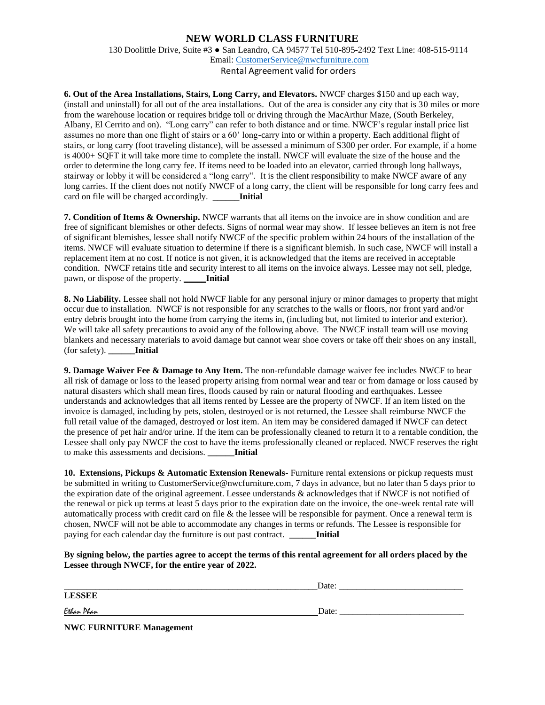## **NEW WORLD CLASS FURNITURE**

130 Doolittle Drive, Suite #3 ● San Leandro, CA 94577 Tel 510-895-2492 Text Line: 408-515-9114 Email: [CustomerService@nwcfurniture.com](mailto:CustomerService@nwcfurniture.com)

Rental Agreement valid for orders

**6. Out of the Area Installations, Stairs, Long Carry, and Elevators.** NWCF charges \$150 and up each way, (install and uninstall) for all out of the area installations. Out of the area is consider any city that is 30 miles or more from the warehouse location or requires bridge toll or driving through the MacArthur Maze, (South Berkeley, Albany, El Cerrito and on). "Long carry" can refer to both distance and or time. NWCF's regular install price list assumes no more than one flight of stairs or a 60' long-carry into or within a property. Each additional flight of stairs, or long carry (foot traveling distance), will be assessed a minimum of \$300 per order. For example, if a home is 4000+ SQFT it will take more time to complete the install. NWCF will evaluate the size of the house and the order to determine the long carry fee. If items need to be loaded into an elevator, carried through long hallways, stairway or lobby it will be considered a "long carry". It is the client responsibility to make NWCF aware of any long carries. If the client does not notify NWCF of a long carry, the client will be responsible for long carry fees and card on file will be charged accordingly. **\_\_\_\_\_\_Initial**

**7. Condition of Items & Ownership.** NWCF warrants that all items on the invoice are in show condition and are free of significant blemishes or other defects. Signs of normal wear may show. If lessee believes an item is not free of significant blemishes, lessee shall notify NWCF of the specific problem within 24 hours of the installation of the items. NWCF will evaluate situation to determine if there is a significant blemish. In such case, NWCF will install a replacement item at no cost. If notice is not given, it is acknowledged that the items are received in acceptable condition. NWCF retains title and security interest to all items on the invoice always. Lessee may not sell, pledge, pawn, or dispose of the property. **\_\_\_\_\_Initial**

**8. No Liability.** Lessee shall not hold NWCF liable for any personal injury or minor damages to property that might occur due to installation. NWCF is not responsible for any scratches to the walls or floors, nor front yard and/or entry debris brought into the home from carrying the items in, (including but, not limited to interior and exterior). We will take all safety precautions to avoid any of the following above. The NWCF install team will use moving blankets and necessary materials to avoid damage but cannot wear shoe covers or take off their shoes on any install, (for safety). **\_\_\_\_\_\_Initial**

**9. Damage Waiver Fee & Damage to Any Item.** The non-refundable damage waiver fee includes NWCF to bear all risk of damage or loss to the leased property arising from normal wear and tear or from damage or loss caused by natural disasters which shall mean fires, floods caused by rain or natural flooding and earthquakes. Lessee understands and acknowledges that all items rented by Lessee are the property of NWCF. If an item listed on the invoice is damaged, including by pets, stolen, destroyed or is not returned, the Lessee shall reimburse NWCF the full retail value of the damaged, destroyed or lost item. An item may be considered damaged if NWCF can detect the presence of pet hair and/or urine. If the item can be professionally cleaned to return it to a rentable condition, the Lessee shall only pay NWCF the cost to have the items professionally cleaned or replaced. NWCF reserves the right to make this assessments and decisions. **\_\_\_\_\_\_Initial**

**10. Extensions, Pickups & Automatic Extension Renewals-** Furniture rental extensions or pickup requests must be submitted in writing to CustomerService@nwcfurniture.com, 7 days in advance, but no later than 5 days prior to the expiration date of the original agreement. Lessee understands & acknowledges that if NWCF is not notified of the renewal or pick up terms at least 5 days prior to the expiration date on the invoice, the one-week rental rate will automatically process with credit card on file & the lessee will be responsible for payment. Once a renewal term is chosen, NWCF will not be able to accommodate any changes in terms or refunds. The Lessee is responsible for paying for each calendar day the furniture is out past contract. **\_\_\_\_\_\_Initial**

**By signing below, the parties agree to accept the terms of this rental agreement for all orders placed by the Lessee through NWCF, for the entire year of 2022.** 

|                                  | Date: |  |
|----------------------------------|-------|--|
| <b>LESSEE</b>                    |       |  |
| Ethan Phan                       | Date: |  |
| $\mathbf{M}\mathbf{W}\mathbf{D}$ |       |  |

**NWC FURNITURE Management**